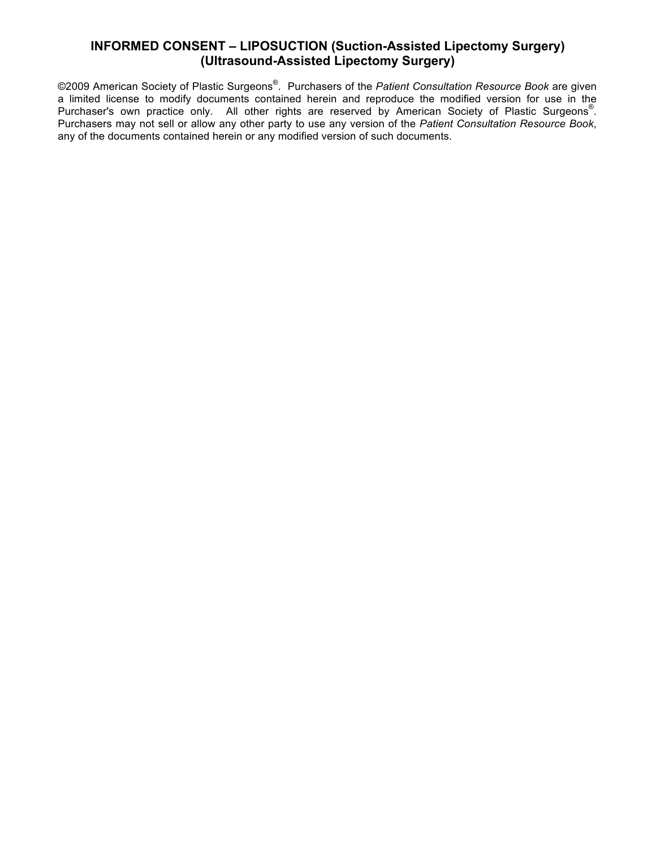©2009 American Society of Plastic Surgeons® . Purchasers of the *Patient Consultation Resource Book* are given a limited license to modify documents contained herein and reproduce the modified version for use in the Purchaser's own practice only. All other rights are reserved by American Society of Plastic Surgeons®. Purchasers may not sell or allow any other party to use any version of the *Patient Consultation Resource Book*, any of the documents contained herein or any modified version of such documents.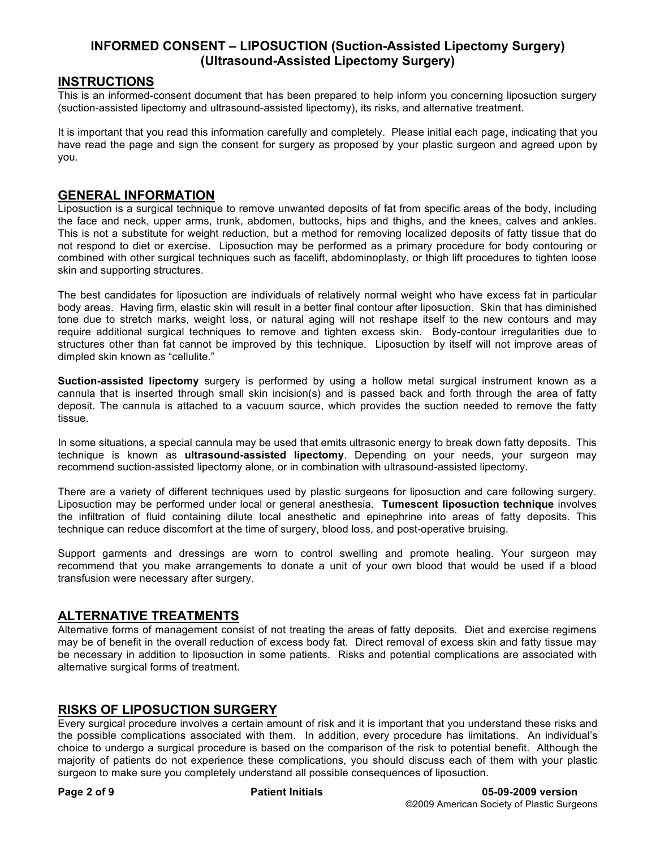#### **INSTRUCTIONS**

This is an informed-consent document that has been prepared to help inform you concerning liposuction surgery (suction-assisted lipectomy and ultrasound-assisted lipectomy), its risks, and alternative treatment.

It is important that you read this information carefully and completely. Please initial each page, indicating that you have read the page and sign the consent for surgery as proposed by your plastic surgeon and agreed upon by you.

#### **GENERAL INFORMATION**

Liposuction is a surgical technique to remove unwanted deposits of fat from specific areas of the body, including the face and neck, upper arms, trunk, abdomen, buttocks, hips and thighs, and the knees, calves and ankles. This is not a substitute for weight reduction, but a method for removing localized deposits of fatty tissue that do not respond to diet or exercise. Liposuction may be performed as a primary procedure for body contouring or combined with other surgical techniques such as facelift, abdominoplasty, or thigh lift procedures to tighten loose skin and supporting structures.

The best candidates for liposuction are individuals of relatively normal weight who have excess fat in particular body areas. Having firm, elastic skin will result in a better final contour after liposuction. Skin that has diminished tone due to stretch marks, weight loss, or natural aging will not reshape itself to the new contours and may require additional surgical techniques to remove and tighten excess skin. Body-contour irregularities due to structures other than fat cannot be improved by this technique. Liposuction by itself will not improve areas of dimpled skin known as "cellulite."

**Suction-assisted lipectomy** surgery is performed by using a hollow metal surgical instrument known as a cannula that is inserted through small skin incision(s) and is passed back and forth through the area of fatty deposit. The cannula is attached to a vacuum source, which provides the suction needed to remove the fatty tissue.

In some situations, a special cannula may be used that emits ultrasonic energy to break down fatty deposits. This technique is known as **ultrasound-assisted lipectomy**. Depending on your needs, your surgeon may recommend suction-assisted lipectomy alone, or in combination with ultrasound-assisted lipectomy.

There are a variety of different techniques used by plastic surgeons for liposuction and care following surgery. Liposuction may be performed under local or general anesthesia. **Tumescent liposuction technique** involves the infiltration of fluid containing dilute local anesthetic and epinephrine into areas of fatty deposits. This technique can reduce discomfort at the time of surgery, blood loss, and post-operative bruising.

Support garments and dressings are worn to control swelling and promote healing. Your surgeon may recommend that you make arrangements to donate a unit of your own blood that would be used if a blood transfusion were necessary after surgery.

#### **ALTERNATIVE TREATMENTS**

Alternative forms of management consist of not treating the areas of fatty deposits. Diet and exercise regimens may be of benefit in the overall reduction of excess body fat. Direct removal of excess skin and fatty tissue may be necessary in addition to liposuction in some patients. Risks and potential complications are associated with alternative surgical forms of treatment.

#### **RISKS OF LIPOSUCTION SURGERY**

Every surgical procedure involves a certain amount of risk and it is important that you understand these risks and the possible complications associated with them. In addition, every procedure has limitations. An individual's choice to undergo a surgical procedure is based on the comparison of the risk to potential benefit. Although the majority of patients do not experience these complications, you should discuss each of them with your plastic surgeon to make sure you completely understand all possible consequences of liposuction.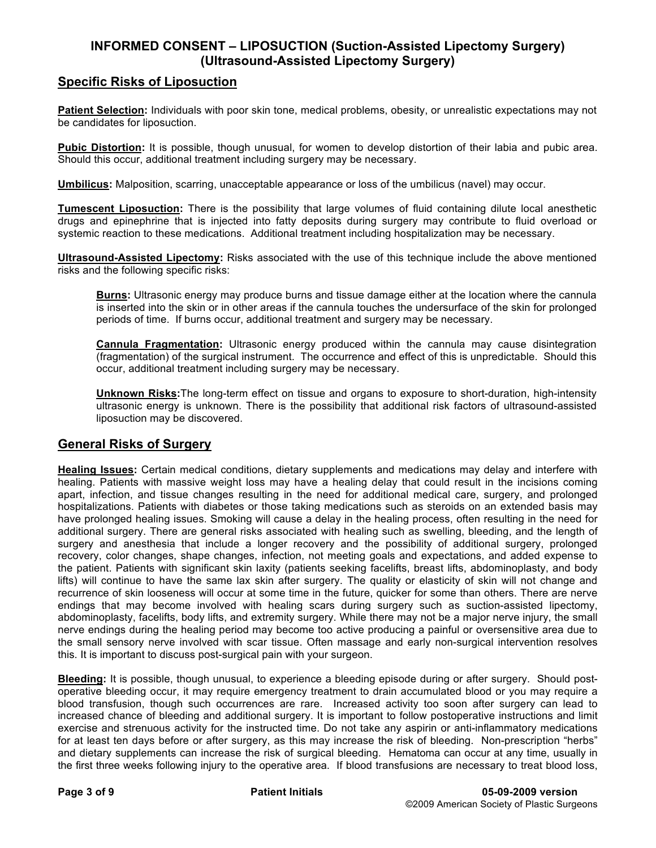#### **Specific Risks of Liposuction**

**Patient Selection:** Individuals with poor skin tone, medical problems, obesity, or unrealistic expectations may not be candidates for liposuction.

**Pubic Distortion:** It is possible, though unusual, for women to develop distortion of their labia and pubic area. Should this occur, additional treatment including surgery may be necessary.

**Umbilicus:** Malposition, scarring, unacceptable appearance or loss of the umbilicus (navel) may occur.

**Tumescent Liposuction:** There is the possibility that large volumes of fluid containing dilute local anesthetic drugs and epinephrine that is injected into fatty deposits during surgery may contribute to fluid overload or systemic reaction to these medications. Additional treatment including hospitalization may be necessary.

**Ultrasound-Assisted Lipectomy:** Risks associated with the use of this technique include the above mentioned risks and the following specific risks:

**Burns:** Ultrasonic energy may produce burns and tissue damage either at the location where the cannula is inserted into the skin or in other areas if the cannula touches the undersurface of the skin for prolonged periods of time. If burns occur, additional treatment and surgery may be necessary.

**Cannula Fragmentation:** Ultrasonic energy produced within the cannula may cause disintegration (fragmentation) of the surgical instrument. The occurrence and effect of this is unpredictable. Should this occur, additional treatment including surgery may be necessary.

**Unknown Risks:**The long-term effect on tissue and organs to exposure to short-duration, high-intensity ultrasonic energy is unknown. There is the possibility that additional risk factors of ultrasound-assisted liposuction may be discovered.

#### **General Risks of Surgery**

**Healing Issues:** Certain medical conditions, dietary supplements and medications may delay and interfere with healing. Patients with massive weight loss may have a healing delay that could result in the incisions coming apart, infection, and tissue changes resulting in the need for additional medical care, surgery, and prolonged hospitalizations. Patients with diabetes or those taking medications such as steroids on an extended basis may have prolonged healing issues. Smoking will cause a delay in the healing process, often resulting in the need for additional surgery. There are general risks associated with healing such as swelling, bleeding, and the length of surgery and anesthesia that include a longer recovery and the possibility of additional surgery, prolonged recovery, color changes, shape changes, infection, not meeting goals and expectations, and added expense to the patient. Patients with significant skin laxity (patients seeking facelifts, breast lifts, abdominoplasty, and body lifts) will continue to have the same lax skin after surgery. The quality or elasticity of skin will not change and recurrence of skin looseness will occur at some time in the future, quicker for some than others. There are nerve endings that may become involved with healing scars during surgery such as suction-assisted lipectomy, abdominoplasty, facelifts, body lifts, and extremity surgery. While there may not be a major nerve injury, the small nerve endings during the healing period may become too active producing a painful or oversensitive area due to the small sensory nerve involved with scar tissue. Often massage and early non-surgical intervention resolves this. It is important to discuss post-surgical pain with your surgeon.

**Bleeding:** It is possible, though unusual, to experience a bleeding episode during or after surgery. Should postoperative bleeding occur, it may require emergency treatment to drain accumulated blood or you may require a blood transfusion, though such occurrences are rare. Increased activity too soon after surgery can lead to increased chance of bleeding and additional surgery. It is important to follow postoperative instructions and limit exercise and strenuous activity for the instructed time. Do not take any aspirin or anti-inflammatory medications for at least ten days before or after surgery, as this may increase the risk of bleeding. Non-prescription "herbs" and dietary supplements can increase the risk of surgical bleeding. Hematoma can occur at any time, usually in the first three weeks following injury to the operative area. If blood transfusions are necessary to treat blood loss,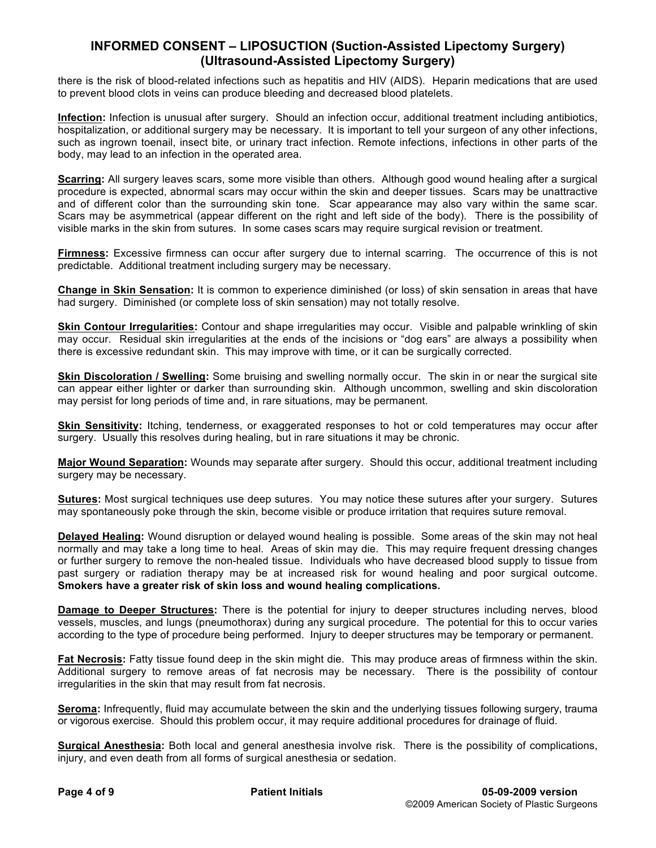there is the risk of blood-related infections such as hepatitis and HIV (AIDS). Heparin medications that are used to prevent blood clots in veins can produce bleeding and decreased blood platelets.

**Infection:** Infection is unusual after surgery. Should an infection occur, additional treatment including antibiotics, hospitalization, or additional surgery may be necessary. It is important to tell your surgeon of any other infections, such as ingrown toenail, insect bite, or urinary tract infection. Remote infections, infections in other parts of the body, may lead to an infection in the operated area.

**Scarring:** All surgery leaves scars, some more visible than others. Although good wound healing after a surgical procedure is expected, abnormal scars may occur within the skin and deeper tissues. Scars may be unattractive and of different color than the surrounding skin tone. Scar appearance may also vary within the same scar. Scars may be asymmetrical (appear different on the right and left side of the body). There is the possibility of visible marks in the skin from sutures. In some cases scars may require surgical revision or treatment.

**Firmness:** Excessive firmness can occur after surgery due to internal scarring. The occurrence of this is not predictable. Additional treatment including surgery may be necessary.

**Change in Skin Sensation:** It is common to experience diminished (or loss) of skin sensation in areas that have had surgery. Diminished (or complete loss of skin sensation) may not totally resolve.

**Skin Contour Irregularities:** Contour and shape irregularities may occur. Visible and palpable wrinkling of skin may occur. Residual skin irregularities at the ends of the incisions or "dog ears" are always a possibility when there is excessive redundant skin. This may improve with time, or it can be surgically corrected.

**Skin Discoloration / Swelling:** Some bruising and swelling normally occur. The skin in or near the surgical site can appear either lighter or darker than surrounding skin. Although uncommon, swelling and skin discoloration may persist for long periods of time and, in rare situations, may be permanent.

**Skin Sensitivity:** Itching, tenderness, or exaggerated responses to hot or cold temperatures may occur after surgery. Usually this resolves during healing, but in rare situations it may be chronic.

**Major Wound Separation:** Wounds may separate after surgery. Should this occur, additional treatment including surgery may be necessary.

**Sutures:** Most surgical techniques use deep sutures. You may notice these sutures after your surgery. Sutures may spontaneously poke through the skin, become visible or produce irritation that requires suture removal.

**Delayed Healing:** Wound disruption or delayed wound healing is possible. Some areas of the skin may not heal normally and may take a long time to heal. Areas of skin may die. This may require frequent dressing changes or further surgery to remove the non-healed tissue. Individuals who have decreased blood supply to tissue from past surgery or radiation therapy may be at increased risk for wound healing and poor surgical outcome. **Smokers have a greater risk of skin loss and wound healing complications.**

**Damage to Deeper Structures:** There is the potential for injury to deeper structures including nerves, blood vessels, muscles, and lungs (pneumothorax) during any surgical procedure. The potential for this to occur varies according to the type of procedure being performed. Injury to deeper structures may be temporary or permanent.

**Fat Necrosis:** Fatty tissue found deep in the skin might die. This may produce areas of firmness within the skin. Additional surgery to remove areas of fat necrosis may be necessary. There is the possibility of contour irregularities in the skin that may result from fat necrosis.

**Seroma:** Infrequently, fluid may accumulate between the skin and the underlying tissues following surgery, trauma or vigorous exercise. Should this problem occur, it may require additional procedures for drainage of fluid.

**Surgical Anesthesia:** Both local and general anesthesia involve risk. There is the possibility of complications, injury, and even death from all forms of surgical anesthesia or sedation.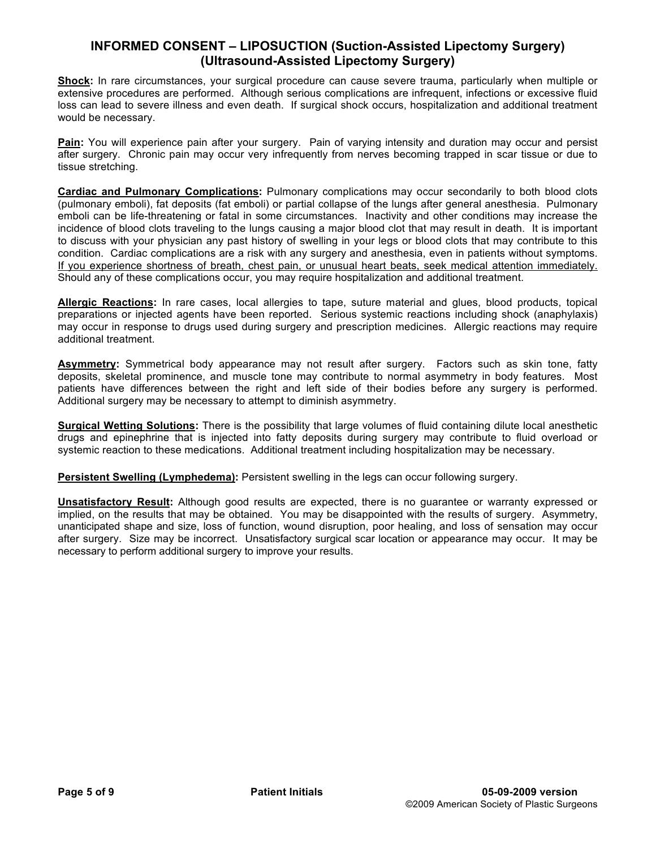**Shock:** In rare circumstances, your surgical procedure can cause severe trauma, particularly when multiple or extensive procedures are performed. Although serious complications are infrequent, infections or excessive fluid loss can lead to severe illness and even death. If surgical shock occurs, hospitalization and additional treatment would be necessary.

**Pain:** You will experience pain after your surgery. Pain of varying intensity and duration may occur and persist after surgery. Chronic pain may occur very infrequently from nerves becoming trapped in scar tissue or due to tissue stretching.

**Cardiac and Pulmonary Complications:** Pulmonary complications may occur secondarily to both blood clots (pulmonary emboli), fat deposits (fat emboli) or partial collapse of the lungs after general anesthesia. Pulmonary emboli can be life-threatening or fatal in some circumstances. Inactivity and other conditions may increase the incidence of blood clots traveling to the lungs causing a major blood clot that may result in death. It is important to discuss with your physician any past history of swelling in your legs or blood clots that may contribute to this condition. Cardiac complications are a risk with any surgery and anesthesia, even in patients without symptoms. If you experience shortness of breath, chest pain, or unusual heart beats, seek medical attention immediately. Should any of these complications occur, you may require hospitalization and additional treatment.

**Allergic Reactions:** In rare cases, local allergies to tape, suture material and glues, blood products, topical preparations or injected agents have been reported. Serious systemic reactions including shock (anaphylaxis) may occur in response to drugs used during surgery and prescription medicines. Allergic reactions may require additional treatment.

**Asymmetry:** Symmetrical body appearance may not result after surgery. Factors such as skin tone, fatty deposits, skeletal prominence, and muscle tone may contribute to normal asymmetry in body features. Most patients have differences between the right and left side of their bodies before any surgery is performed. Additional surgery may be necessary to attempt to diminish asymmetry.

**Surgical Wetting Solutions:** There is the possibility that large volumes of fluid containing dilute local anesthetic drugs and epinephrine that is injected into fatty deposits during surgery may contribute to fluid overload or systemic reaction to these medications. Additional treatment including hospitalization may be necessary.

**Persistent Swelling (Lymphedema):** Persistent swelling in the legs can occur following surgery.

**Unsatisfactory Result:** Although good results are expected, there is no guarantee or warranty expressed or implied, on the results that may be obtained. You may be disappointed with the results of surgery. Asymmetry, unanticipated shape and size, loss of function, wound disruption, poor healing, and loss of sensation may occur after surgery. Size may be incorrect. Unsatisfactory surgical scar location or appearance may occur. It may be necessary to perform additional surgery to improve your results.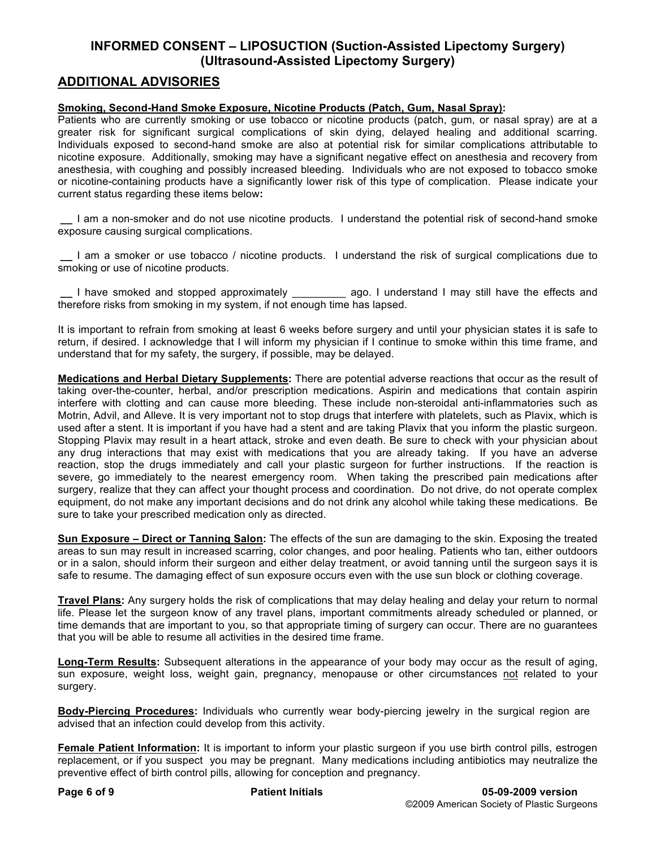## **ADDITIONAL ADVISORIES**

#### **Smoking, Second-Hand Smoke Exposure, Nicotine Products (Patch, Gum, Nasal Spray):**

Patients who are currently smoking or use tobacco or nicotine products (patch, gum, or nasal spray) are at a greater risk for significant surgical complications of skin dying, delayed healing and additional scarring. Individuals exposed to second-hand smoke are also at potential risk for similar complications attributable to nicotine exposure. Additionally, smoking may have a significant negative effect on anesthesia and recovery from anesthesia, with coughing and possibly increased bleeding. Individuals who are not exposed to tobacco smoke or nicotine-containing products have a significantly lower risk of this type of complication. Please indicate your current status regarding these items below**:**

**\_\_** I am a non-smoker and do not use nicotine products. I understand the potential risk of second-hand smoke exposure causing surgical complications.

**\_\_** I am a smoker or use tobacco / nicotine products. I understand the risk of surgical complications due to smoking or use of nicotine products.

**\_\_** I have smoked and stopped approximately \_\_\_\_\_\_\_\_\_ ago. I understand I may still have the effects and therefore risks from smoking in my system, if not enough time has lapsed.

It is important to refrain from smoking at least 6 weeks before surgery and until your physician states it is safe to return, if desired. I acknowledge that I will inform my physician if I continue to smoke within this time frame, and understand that for my safety, the surgery, if possible, may be delayed.

**Medications and Herbal Dietary Supplements:** There are potential adverse reactions that occur as the result of taking over-the-counter, herbal, and/or prescription medications. Aspirin and medications that contain aspirin interfere with clotting and can cause more bleeding. These include non-steroidal anti-inflammatories such as Motrin, Advil, and Alleve. It is very important not to stop drugs that interfere with platelets, such as Plavix, which is used after a stent. It is important if you have had a stent and are taking Plavix that you inform the plastic surgeon. Stopping Plavix may result in a heart attack, stroke and even death. Be sure to check with your physician about any drug interactions that may exist with medications that you are already taking. If you have an adverse reaction, stop the drugs immediately and call your plastic surgeon for further instructions. If the reaction is severe, go immediately to the nearest emergency room. When taking the prescribed pain medications after surgery, realize that they can affect your thought process and coordination. Do not drive, do not operate complex equipment, do not make any important decisions and do not drink any alcohol while taking these medications. Be sure to take your prescribed medication only as directed.

**Sun Exposure – Direct or Tanning Salon:** The effects of the sun are damaging to the skin. Exposing the treated areas to sun may result in increased scarring, color changes, and poor healing. Patients who tan, either outdoors or in a salon, should inform their surgeon and either delay treatment, or avoid tanning until the surgeon says it is safe to resume. The damaging effect of sun exposure occurs even with the use sun block or clothing coverage.

**Travel Plans:** Any surgery holds the risk of complications that may delay healing and delay your return to normal life. Please let the surgeon know of any travel plans, important commitments already scheduled or planned, or time demands that are important to you, so that appropriate timing of surgery can occur. There are no guarantees that you will be able to resume all activities in the desired time frame.

**Long-Term Results:** Subsequent alterations in the appearance of your body may occur as the result of aging, sun exposure, weight loss, weight gain, pregnancy, menopause or other circumstances not related to your surgery.

**Body-Piercing Procedures:** Individuals who currently wear body-piercing jewelry in the surgical region are advised that an infection could develop from this activity.

**Female Patient Information:** It is important to inform your plastic surgeon if you use birth control pills, estrogen replacement, or if you suspect you may be pregnant. Many medications including antibiotics may neutralize the preventive effect of birth control pills, allowing for conception and pregnancy.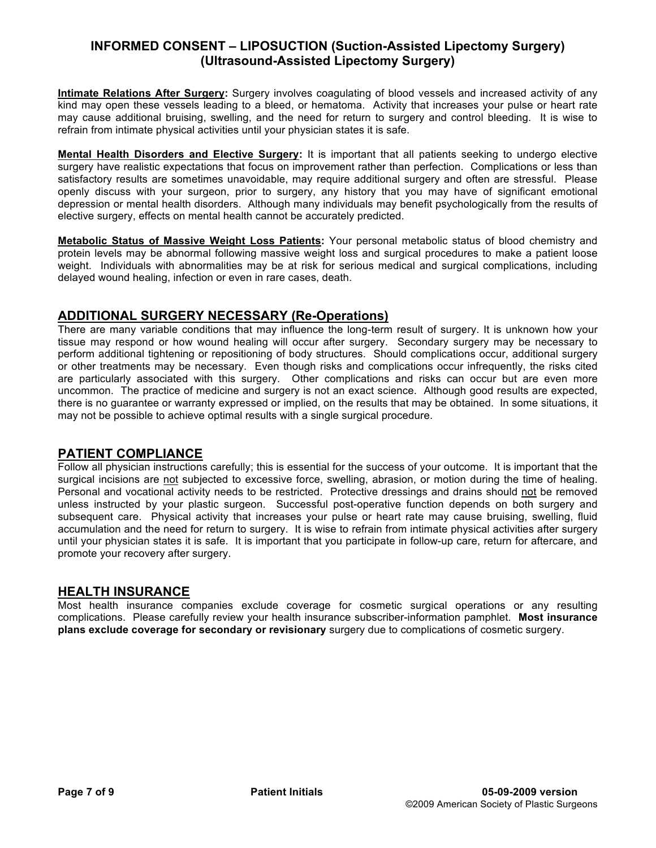**Intimate Relations After Surgery:** Surgery involves coagulating of blood vessels and increased activity of any kind may open these vessels leading to a bleed, or hematoma. Activity that increases your pulse or heart rate may cause additional bruising, swelling, and the need for return to surgery and control bleeding. It is wise to refrain from intimate physical activities until your physician states it is safe.

**Mental Health Disorders and Elective Surgery:** It is important that all patients seeking to undergo elective surgery have realistic expectations that focus on improvement rather than perfection. Complications or less than satisfactory results are sometimes unavoidable, may require additional surgery and often are stressful. Please openly discuss with your surgeon, prior to surgery, any history that you may have of significant emotional depression or mental health disorders. Although many individuals may benefit psychologically from the results of elective surgery, effects on mental health cannot be accurately predicted.

**Metabolic Status of Massive Weight Loss Patients:** Your personal metabolic status of blood chemistry and protein levels may be abnormal following massive weight loss and surgical procedures to make a patient loose weight. Individuals with abnormalities may be at risk for serious medical and surgical complications, including delayed wound healing, infection or even in rare cases, death.

## **ADDITIONAL SURGERY NECESSARY (Re-Operations)**

There are many variable conditions that may influence the long-term result of surgery. It is unknown how your tissue may respond or how wound healing will occur after surgery. Secondary surgery may be necessary to perform additional tightening or repositioning of body structures. Should complications occur, additional surgery or other treatments may be necessary. Even though risks and complications occur infrequently, the risks cited are particularly associated with this surgery. Other complications and risks can occur but are even more uncommon. The practice of medicine and surgery is not an exact science. Although good results are expected, there is no guarantee or warranty expressed or implied, on the results that may be obtained. In some situations, it may not be possible to achieve optimal results with a single surgical procedure.

#### **PATIENT COMPLIANCE**

Follow all physician instructions carefully; this is essential for the success of your outcome. It is important that the surgical incisions are not subjected to excessive force, swelling, abrasion, or motion during the time of healing. Personal and vocational activity needs to be restricted. Protective dressings and drains should not be removed unless instructed by your plastic surgeon. Successful post-operative function depends on both surgery and subsequent care. Physical activity that increases your pulse or heart rate may cause bruising, swelling, fluid accumulation and the need for return to surgery. It is wise to refrain from intimate physical activities after surgery until your physician states it is safe. It is important that you participate in follow-up care, return for aftercare, and promote your recovery after surgery.

#### **HEALTH INSURANCE**

Most health insurance companies exclude coverage for cosmetic surgical operations or any resulting complications. Please carefully review your health insurance subscriber-information pamphlet. **Most insurance plans exclude coverage for secondary or revisionary** surgery due to complications of cosmetic surgery.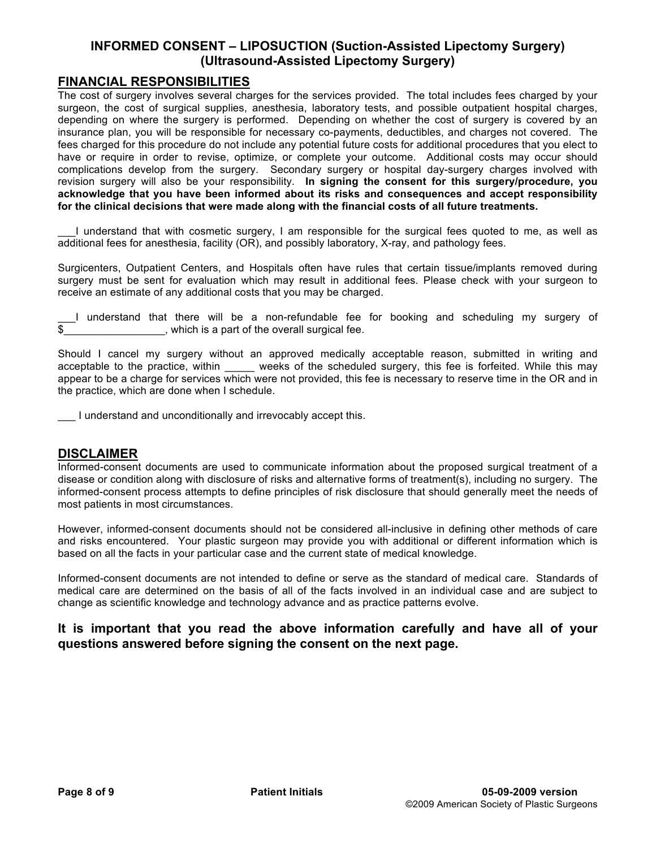#### **FINANCIAL RESPONSIBILITIES**

The cost of surgery involves several charges for the services provided. The total includes fees charged by your surgeon, the cost of surgical supplies, anesthesia, laboratory tests, and possible outpatient hospital charges, depending on where the surgery is performed. Depending on whether the cost of surgery is covered by an insurance plan, you will be responsible for necessary co-payments, deductibles, and charges not covered. The fees charged for this procedure do not include any potential future costs for additional procedures that you elect to have or require in order to revise, optimize, or complete your outcome. Additional costs may occur should complications develop from the surgery. Secondary surgery or hospital day-surgery charges involved with revision surgery will also be your responsibility. **In signing the consent for this surgery/procedure, you acknowledge that you have been informed about its risks and consequences and accept responsibility for the clinical decisions that were made along with the financial costs of all future treatments.**

\_\_\_I understand that with cosmetic surgery, I am responsible for the surgical fees quoted to me, as well as additional fees for anesthesia, facility (OR), and possibly laboratory, X-ray, and pathology fees.

Surgicenters, Outpatient Centers, and Hospitals often have rules that certain tissue/implants removed during surgery must be sent for evaluation which may result in additional fees. Please check with your surgeon to receive an estimate of any additional costs that you may be charged.

\_\_\_I understand that there will be a non-refundable fee for booking and scheduling my surgery of  $\overline{\$}$  which is a part of the overall surgical fee.

Should I cancel my surgery without an approved medically acceptable reason, submitted in writing and acceptable to the practice, within \_\_\_\_\_ weeks of the scheduled surgery, this fee is forfeited. While this may appear to be a charge for services which were not provided, this fee is necessary to reserve time in the OR and in the practice, which are done when I schedule.

I understand and unconditionally and irrevocably accept this.

#### **DISCLAIMER**

Informed-consent documents are used to communicate information about the proposed surgical treatment of a disease or condition along with disclosure of risks and alternative forms of treatment(s), including no surgery. The informed-consent process attempts to define principles of risk disclosure that should generally meet the needs of most patients in most circumstances.

However, informed-consent documents should not be considered all-inclusive in defining other methods of care and risks encountered. Your plastic surgeon may provide you with additional or different information which is based on all the facts in your particular case and the current state of medical knowledge.

Informed-consent documents are not intended to define or serve as the standard of medical care. Standards of medical care are determined on the basis of all of the facts involved in an individual case and are subject to change as scientific knowledge and technology advance and as practice patterns evolve.

## **It is important that you read the above information carefully and have all of your questions answered before signing the consent on the next page.**